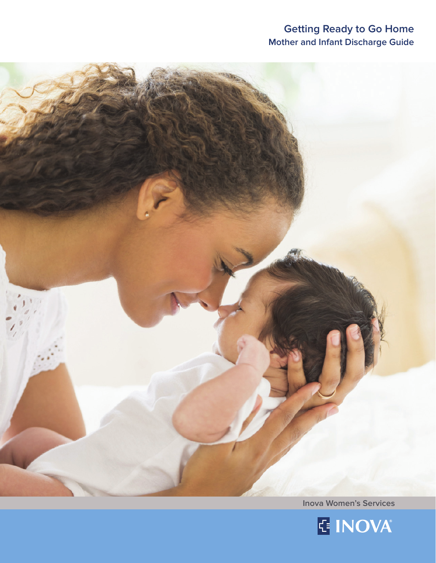# **Getting Ready to Go Home Mother and Infant Discharge Guide**



**Inova Women's Services**

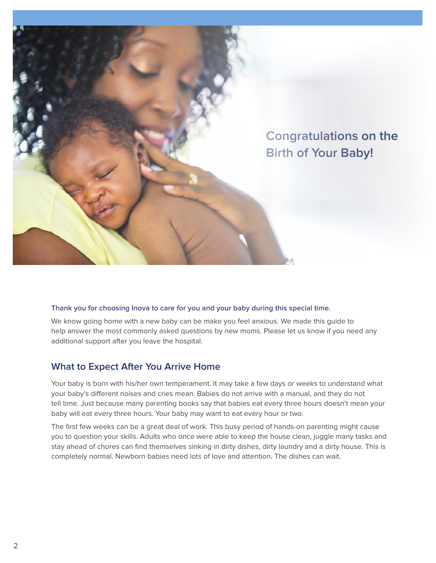

#### **Thank you for choosing Inova to care for you and your baby during this special time.**

We know going home with a new baby can be make you feel anxious. We made this guide to help answer the most commonly asked questions by new moms. Please let us know if you need any additional support after you leave the hospital.

# **What to Expect After You Arrive Home**

Your baby is born with his/her own temperament. It may take a few days or weeks to understand what your baby's different noises and cries mean. Babies do not arrive with a manual, and they do not tell time. Just because many parenting books say that babies eat every three hours doesn't mean your baby will eat every three hours. Your baby may want to eat every hour or two.

The first few weeks can be a great deal of work. This busy period of hands-on parenting might cause you to question your skills. Adults who once were able to keep the house clean, juggle many tasks and stay ahead of chores can find themselves sinking in dirty dishes, dirty laundry and a dirty house. This is completely normal. Newborn babies need lots of love and attention. The dishes can wait.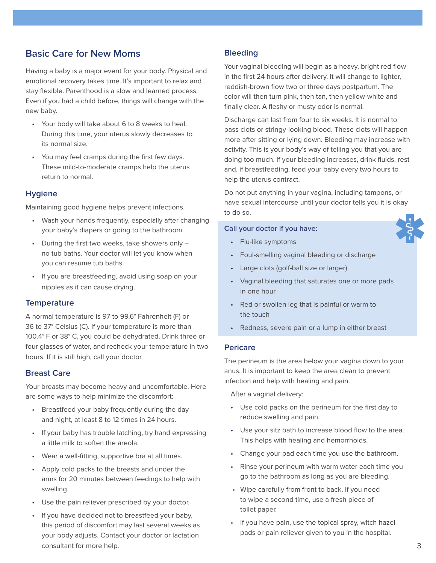# **Basic Care for New Moms**

Having a baby is a major event for your body. Physical and emotional recovery takes time. It's important to relax and stay flexible. Parenthood is a slow and learned process. Even if you had a child before, things will change with the new baby.

- Your body will take about 6 to 8 weeks to heal. During this time, your uterus slowly decreases to its normal size.
- You may feel cramps during the first few days. These mild-to-moderate cramps help the uterus return to normal.

### **Hygiene**

Maintaining good hygiene helps prevent infections.

- Wash your hands frequently, especially after changing your baby's diapers or going to the bathroom.
- During the first two weeks, take showers only no tub baths. Your doctor will let you know when you can resume tub baths.
- If you are breastfeeding, avoid using soap on your nipples as it can cause drying.

#### **Temperature**

A normal temperature is 97 to 99.6° Fahrenheit (F) or 36 to 37° Celsius (C). If your temperature is more than 100.4° F or 38° C, you could be dehydrated. Drink three or four glasses of water, and recheck your temperature in two hours. If it is still high, call your doctor.

#### **Breast Care**

Your breasts may become heavy and uncomfortable. Here are some ways to help minimize the discomfort:

- Breastfeed your baby frequently during the day and night, at least 8 to 12 times in 24 hours.
- If your baby has trouble latching, try hand expressing a little milk to soften the areola.
- Wear a well-fitting, supportive bra at all times.
- Apply cold packs to the breasts and under the arms for 20 minutes between feedings to help with swelling.
- Use the pain reliever prescribed by your doctor.
- If you have decided not to breastfeed your baby, this period of discomfort may last several weeks as your body adjusts. Contact your doctor or lactation consultant for more help.

### **Bleeding**

Your vaginal bleeding will begin as a heavy, bright red flow in the first 24 hours after delivery. It will change to lighter, reddish-brown flow two or three days postpartum. The color will then turn pink, then tan, then yellow-white and finally clear. A fleshy or musty odor is normal.

Discharge can last from four to six weeks. It is normal to pass clots or stringy-looking blood. These clots will happen more after sitting or lying down. Bleeding may increase with activity. This is your body's way of telling you that you are doing too much. If your bleeding increases, drink fluids, rest and, if breastfeeding, feed your baby every two hours to help the uterus contract.

Do not put anything in your vagina, including tampons, or have sexual intercourse until your doctor tells you it is okay to do so.

#### **Call your doctor if you have:**

- Flu-like symptoms
- Foul-smelling vaginal bleeding or discharge
- Large clots (golf-ball size or larger)
- Vaginal bleeding that saturates one or more pads in one hour
- Red or swollen leg that is painful or warm to the touch
- Redness, severe pain or a lump in either breast

### **Pericare**

The perineum is the area below your vagina down to your anus. It is important to keep the area clean to prevent infection and help with healing and pain.

After a vaginal delivery:

- Use cold packs on the perineum for the first day to reduce swelling and pain.
- Use your sitz bath to increase blood flow to the area. This helps with healing and hemorrhoids.
- Change your pad each time you use the bathroom.
- Rinse your perineum with warm water each time you go to the bathroom as long as you are bleeding.
- Wipe carefully from front to back. If you need to wipe a second time, use a fresh piece of toilet paper.
- If you have pain, use the topical spray, witch hazel pads or pain reliever given to you in the hospital.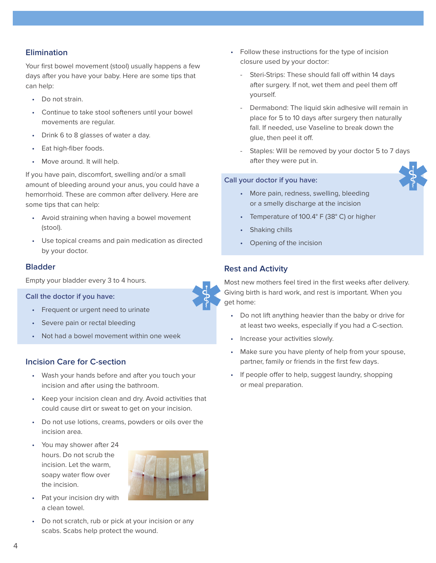# **Elimination**

Your first bowel movement (stool) usually happens a few days after you have your baby. Here are some tips that can help:

- Do not strain.
- Continue to take stool softeners until your bowel movements are regular.
- Drink 6 to 8 glasses of water a day.
- Eat high-fiber foods.
- Move around. It will help.

If you have pain, discomfort, swelling and/or a small amount of bleeding around your anus, you could have a hemorrhoid. These are common after delivery. Here are some tips that can help:

- Avoid straining when having a bowel movement (stool).
- Use topical creams and pain medication as directed by your doctor.

# **Bladder**

Empty your bladder every 3 to 4 hours.

**Call the doctor if you have:** 

- Frequent or urgent need to urinate
- Severe pain or rectal bleeding
- Not had a bowel movement within one week

# **Incision Care for C-section**

- Wash your hands before and after you touch your incision and after using the bathroom.
- Keep your incision clean and dry. Avoid activities that could cause dirt or sweat to get on your incision.
- Do not use lotions, creams, powders or oils over the incision area.
- You may shower after 24 hours. Do not scrub the incision. Let the warm, soapy water flow over the incision.



- Pat your incision dry with a clean towel.
- Do not scratch, rub or pick at your incision or any scabs. Scabs help protect the wound.
- Follow these instructions for the type of incision closure used by your doctor:
	- Steri-Strips: These should fall off within 14 days after surgery. If not, wet them and peel them off yourself.
	- Dermabond: The liquid skin adhesive will remain in place for 5 to 10 days after surgery then naturally fall. If needed, use Vaseline to break down the glue, then peel it off.
	- Staples: Will be removed by your doctor 5 to 7 days after they were put in.

### **Call your doctor if you have:**

- More pain, redness, swelling, bleeding or a smelly discharge at the incision
- Temperature of 100.4° F (38° C) or higher
- Shaking chills
- Opening of the incision

# **Rest and Activity**

Most new mothers feel tired in the first weeks after delivery. Giving birth is hard work, and rest is important. When you get home:

- Do not lift anything heavier than the baby or drive for at least two weeks, especially if you had a C-section.
- Increase your activities slowly.
- Make sure you have plenty of help from your spouse, partner, family or friends in the first few days.
- If people offer to help, suggest laundry, shopping or meal preparation.

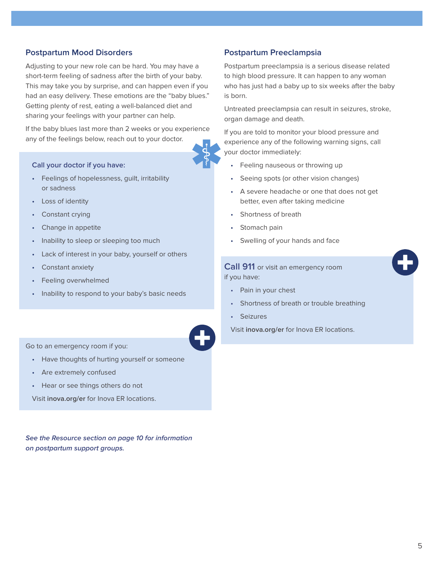# **Postpartum Mood Disorders**

Adjusting to your new role can be hard. You may have a short-term feeling of sadness after the birth of your baby. This may take you by surprise, and can happen even if you had an easy delivery. These emotions are the "baby blues." Getting plenty of rest, eating a well-balanced diet and sharing your feelings with your partner can help.

If the baby blues last more than 2 weeks or you experience any of the feelings below, reach out to your doctor.

#### **Call your doctor if you have:**

- Feelings of hopelessness, guilt, irritability or sadness
- Loss of identity
- Constant crying
- Change in appetite
- Inability to sleep or sleeping too much
- Lack of interest in your baby, yourself or others
- Constant anxiety
- Feeling overwhelmed
- Inability to respond to your baby's basic needs

Go to an emergency room if you:

- Have thoughts of hurting yourself or someone
- Are extremely confused
- Hear or see things others do not

Visit **inova.org/er** for Inova ER locations.

**See the Resource section on page 10 for information on postpartum support groups.** 

# **Postpartum Preeclampsia**

Postpartum preeclampsia is a serious disease related to high blood pressure. It can happen to any woman who has just had a baby up to six weeks after the baby is born.

Untreated preeclampsia can result in seizures, stroke, organ damage and death.

If you are told to monitor your blood pressure and experience any of the following warning signs, call your doctor immediately:

- Feeling nauseous or throwing up
- Seeing spots (or other vision changes)
- A severe headache or one that does not get better, even after taking medicine
- Shortness of breath
- Stomach pain
- Swelling of your hands and face

## **Call 911** or visit an emergency room if you have:

- Pain in your chest
- Shortness of breath or trouble breathing
- **Seizures**

Visit **inova.org/er** for Inova ER locations.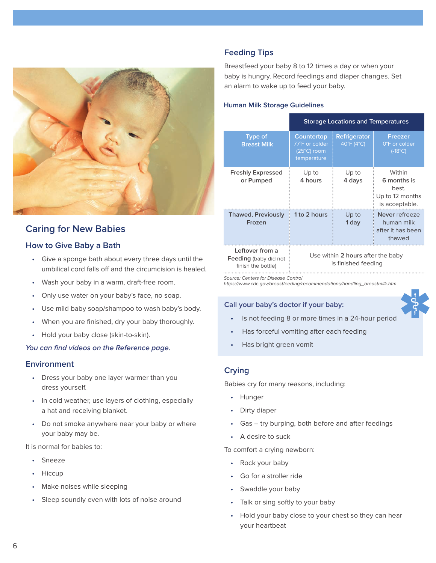

# **Caring for New Babies**

# **How to Give Baby a Bath**

- Give a sponge bath about every three days until the umbilical cord falls off and the circumcision is healed.
- Wash your baby in a warm, draft-free room.
- Only use water on your baby's face, no soap.
- Use mild baby soap/shampoo to wash baby's body.
- When you are finished, dry your baby thoroughly.
- Hold your baby close (skin-to-skin).

#### **You can find videos on the Reference page.**

### **Environment**

- Dress your baby one layer warmer than you dress yourself.
- In cold weather, use layers of clothing, especially a hat and receiving blanket.
- Do not smoke anywhere near your baby or where your baby may be.

It is normal for babies to:

- Sneeze
- Hiccup
- Make noises while sleeping
- Sleep soundly even with lots of noise around

# **Feeding Tips**

Breastfeed your baby 8 to 12 times a day or when your baby is hungry. Record feedings and diaper changes. Set an alarm to wake up to feed your baby.

#### **Human Milk Storage Guidelines**

|                                                                                                        | <b>Storage Locations and Temperatures</b>                           |                            |                                                                     |
|--------------------------------------------------------------------------------------------------------|---------------------------------------------------------------------|----------------------------|---------------------------------------------------------------------|
| <b>Type of</b><br><b>Breast Milk</b>                                                                   | Countertop<br>77°F or colder<br>$(25^{\circ}C)$ room<br>temperature | Refrigerator<br>40°F (4°C) | <b>Freezer</b><br>0°F or colder<br>$(-18^{\circ}C)$                 |
| <b>Freshly Expressed</b><br>or Pumped                                                                  | Up to<br>4 hours                                                    | Up to<br>4 days            | Within<br>6 months is<br>best.<br>Up to 12 months<br>is acceptable. |
| <b>Thawed, Previously</b><br>Frozen                                                                    | 1 to 2 hours                                                        | Up to<br>1 day             | Never refreeze<br>human milk<br>after it has been<br>thawed         |
| Leftover from a<br><b>Feeding</b> (baby did not<br>$P_{\text{max}}$ to the set of the set of $\Lambda$ | Use within 2 hours after the baby<br>is finished feeding            |                            |                                                                     |

Source: Centers for Disease Control

finish the bottle)

https://www.cdc.gov/breastfeeding/recommendations/handling\_breastmilk.htm

#### **Call your baby's doctor if your baby:**

- Is not feeding 8 or more times in a 24-hour period
- Has forceful vomiting after each feeding
- Has bright green vomit

# **Crying**

Babies cry for many reasons, including:

- Hunger
- Dirty diaper
- Gas try burping, both before and after feedings
- A desire to suck

To comfort a crying newborn:

- Rock your baby
- Go for a stroller ride
- Swaddle your baby
- Talk or sing softly to your baby
- Hold your baby close to your chest so they can hear your heartbeat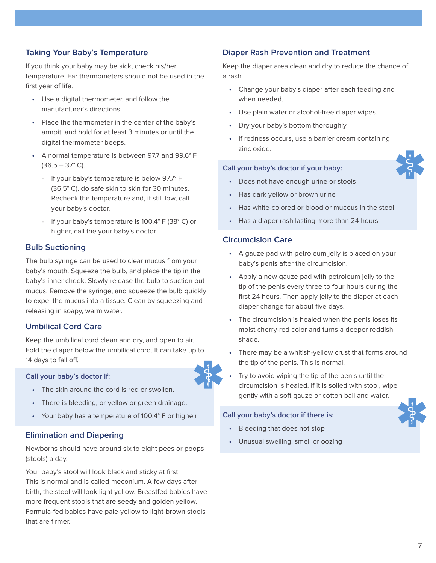# **Taking Your Baby's Temperature**

If you think your baby may be sick, check his/her temperature. Ear thermometers should not be used in the first year of life.

- Use a digital thermometer, and follow the manufacturer's directions.
- Place the thermometer in the center of the baby's armpit, and hold for at least 3 minutes or until the digital thermometer beeps.
- A normal temperature is between 97.7 and 99.6° F  $(36.5 - 37° \text{ C}).$ 
	- If your baby's temperature is below 97.7° F (36.5° C), do safe skin to skin for 30 minutes. Recheck the temperature and, if still low, call your baby's doctor.
	- If your baby's temperature is 100.4° F (38° C) or higher, call the your baby's doctor.

# **Bulb Suctioning**

The bulb syringe can be used to clear mucus from your baby's mouth. Squeeze the bulb, and place the tip in the baby's inner cheek. Slowly release the bulb to suction out mucus. Remove the syringe, and squeeze the bulb quickly to expel the mucus into a tissue. Clean by squeezing and releasing in soapy, warm water.

# **Umbilical Cord Care**

Keep the umbilical cord clean and dry, and open to air. Fold the diaper below the umbilical cord. It can take up to 14 days to fall off.

#### **Call your baby's doctor if:**

- The skin around the cord is red or swollen.
- There is bleeding, or yellow or green drainage.
- Your baby has a temperature of 100.4° F or highe.r

# **Elimination and Diapering**

Newborns should have around six to eight pees or poops (stools) a day.

Your baby's stool will look black and sticky at first. This is normal and is called meconium. A few days after birth, the stool will look light yellow. Breastfed babies have more frequent stools that are seedy and golden yellow. Formula-fed babies have pale-yellow to light-brown stools that are firmer.

## **Diaper Rash Prevention and Treatment**

Keep the diaper area clean and dry to reduce the chance of a rash.

- Change your baby's diaper after each feeding and when needed.
- Use plain water or alcohol-free diaper wipes.
- Dry your baby's bottom thoroughly.
- If redness occurs, use a barrier cream containing zinc oxide.

### **Call your baby's doctor if your baby:**



- Does not have enough urine or stools
- Has dark yellow or brown urine
- Has white-colored or blood or mucous in the stool
- Has a diaper rash lasting more than 24 hours

#### **Circumcision Care**

- A gauze pad with petroleum jelly is placed on your baby's penis after the circumcision.
- Apply a new gauze pad with petroleum jelly to the tip of the penis every three to four hours during the first 24 hours. Then apply jelly to the diaper at each diaper change for about five days.
- The circumcision is healed when the penis loses its moist cherry-red color and turns a deeper reddish shade.
- There may be a whitish-yellow crust that forms around the tip of the penis. This is normal.
- Try to avoid wiping the tip of the penis until the circumcision is healed. If it is soiled with stool, wipe gently with a soft gauze or cotton ball and water.

#### **Call your baby's doctor if there is:**

- Bleeding that does not stop
- Unusual swelling, smell or oozing